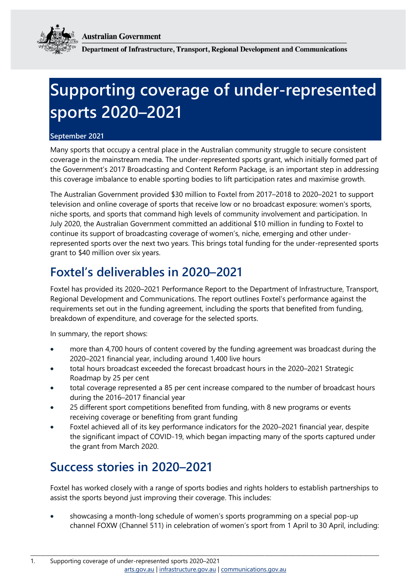**Australian Government** 



Department of Infrastructure, Transport, Regional Development and Communications

# **Supporting coverage of under-represented sports 2020–2021**

#### **September 2021**

Many sports that occupy a central place in the Australian community struggle to secure consistent coverage in the mainstream media. The under-represented sports grant, which initially formed part of the Government's 2017 Broadcasting and Content Reform Package, is an important step in addressing this coverage imbalance to enable sporting bodies to lift participation rates and maximise growth.

The Australian Government provided \$30 million to Foxtel from 2017–2018 to 2020–2021 to support television and online coverage of sports that receive low or no broadcast exposure: women's sports, niche sports, and sports that command high levels of community involvement and participation. In July 2020, the Australian Government committed an additional \$10 million in funding to Foxtel to continue its support of broadcasting coverage of women's, niche, emerging and other underrepresented sports over the next two years. This brings total funding for the under-represented sports grant to \$40 million over six years.

### **Foxtel's deliverables in 2020–2021**

Foxtel has provided its 2020–2021 Performance Report to the Department of Infrastructure, Transport, Regional Development and Communications. The report outlines Foxtel's performance against the requirements set out in the funding agreement, including the sports that benefited from funding, breakdown of expenditure, and coverage for the selected sports.

In summary, the report shows:

- more than 4,700 hours of content covered by the funding agreement was broadcast during the 2020–2021 financial year, including around 1,400 live hours
- total hours broadcast exceeded the forecast broadcast hours in the 2020–2021 Strategic Roadmap by 25 per cent
- total coverage represented a 85 per cent increase compared to the number of broadcast hours during the 2016–2017 financial year
- 25 different sport competitions benefited from funding, with 8 new programs or events receiving coverage or benefiting from grant funding
- Foxtel achieved all of its key performance indicators for the 2020–2021 financial year, despite the significant impact of COVID-19, which began impacting many of the sports captured under the grant from March 2020.

### **Success stories in 2020–2021**

Foxtel has worked closely with a range of sports bodies and rights holders to establish partnerships to assist the sports beyond just improving their coverage. This includes:

 showcasing a month-long schedule of women's sports programming on a special pop-up channel FOXW (Channel 511) in celebration of women's sport from 1 April to 30 April, including:

\_\_\_\_\_\_\_\_\_\_\_\_\_\_\_\_\_\_\_\_\_\_\_\_\_\_\_\_\_\_\_\_\_\_\_\_\_\_\_\_\_\_\_\_\_\_\_\_\_\_\_\_\_\_\_\_\_\_\_\_\_\_\_\_\_\_\_\_\_\_\_\_\_\_\_\_\_\_\_\_\_\_\_\_\_\_\_\_\_\_\_\_\_\_\_\_\_\_\_\_\_\_\_\_\_\_\_\_\_\_\_\_\_\_\_\_\_\_\_\_\_\_\_\_\_\_\_\_\_\_\_\_\_\_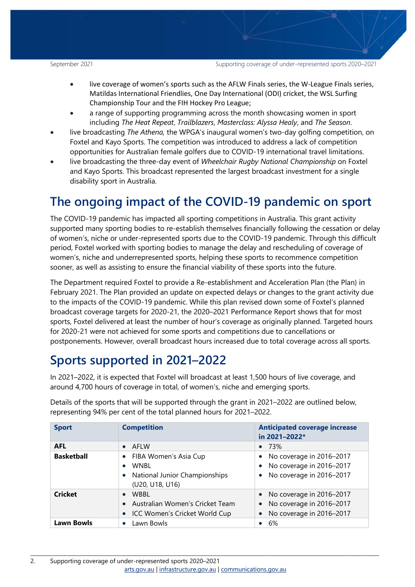September 2021 Supporting coverage of under-represented sports 2020–2021

- live coverage of women's sports such as the AFLW Finals series, the W-League Finals series, Matildas International Friendlies, One Day International (ODI) cricket, the WSL Surfing Championship Tour and the FIH Hockey Pro League;
- a range of supporting programming across the month showcasing women in sport including *The Heat Repeat*, *Trailblazers*, *Masterclass: Alyssa Healy*, and *The Season*.
- live broadcasting *The Athena,* the WPGA's inaugural women's two-day golfing competition, on Foxtel and Kayo Sports. The competition was introduced to address a lack of competition opportunities for Australian female golfers due to COVID-19 international travel limitations.
- live broadcasting the three-day event of *Wheelchair Rugby National Championship* on Foxtel and Kayo Sports. This broadcast represented the largest broadcast investment for a single disability sport in Australia.

## **The ongoing impact of the COVID-19 pandemic on sport**

The COVID-19 pandemic has impacted all sporting competitions in Australia. This grant activity supported many sporting bodies to re-establish themselves financially following the cessation or delay of women's, niche or under-represented sports due to the COVID-19 pandemic. Through this difficult period, Foxtel worked with sporting bodies to manage the delay and rescheduling of coverage of women's, niche and underrepresented sports, helping these sports to recommence competition sooner, as well as assisting to ensure the financial viability of these sports into the future.

The Department required Foxtel to provide a Re-establishment and Acceleration Plan (the Plan) in February 2021. The Plan provided an update on expected delays or changes to the grant activity due to the impacts of the COVID-19 pandemic. While this plan revised down some of Foxtel's planned broadcast coverage targets for 2020-21, the 2020–2021 Performance Report shows that for most sports, Foxtel delivered at least the number of hour's coverage as originally planned. Targeted hours for 2020-21 were not achieved for some sports and competitions due to cancellations or postponements. However, overall broadcast hours increased due to total coverage across all sports.

# **Sports supported in 2021–2022**

In 2021–2022, it is expected that Foxtel will broadcast at least 1,500 hours of live coverage, and around 4,700 hours of coverage in total, of women's, niche and emerging sports.

| <b>Sport</b>      | <b>Competition</b>                                                                                                              | <b>Anticipated coverage increase</b><br>in 2021-2022*                                                        |
|-------------------|---------------------------------------------------------------------------------------------------------------------------------|--------------------------------------------------------------------------------------------------------------|
| <b>AFL</b>        | $\bullet$ AFIW                                                                                                                  | $\bullet$ 73%                                                                                                |
| <b>Basketball</b> | FIBA Women's Asia Cup<br>$\bullet$<br><b>WNBL</b><br>$\bullet$<br>National Junior Championships<br>$\bullet$<br>(U20, U18, U16) | • No coverage in $2016 - 2017$<br>• No coverage in 2016-2017<br>No coverage in 2016-2017<br>$\bullet$        |
| <b>Cricket</b>    | WBBL<br>$\bullet$<br>Australian Women's Cricket Team<br>$\bullet$<br>ICC Women's Cricket World Cup<br>$\bullet$                 | • No coverage in 2016-2017<br>No coverage in 2016-2017<br>$\bullet$<br>No coverage in 2016-2017<br>$\bullet$ |
| <b>Lawn Bowls</b> | Lawn Bowls<br>$\bullet$                                                                                                         | - 6%<br>$\bullet$                                                                                            |

\_\_\_\_\_\_\_\_\_\_\_\_\_\_\_\_\_\_\_\_\_\_\_\_\_\_\_\_\_\_\_\_\_\_\_\_\_\_\_\_\_\_\_\_\_\_\_\_\_\_\_\_\_\_\_\_\_\_\_\_\_\_\_\_\_\_\_\_\_\_\_\_\_\_\_\_\_\_\_\_\_\_\_\_\_\_\_\_\_\_\_\_\_\_\_\_\_\_\_\_\_\_\_\_\_\_\_\_\_\_\_\_\_\_\_\_\_\_\_\_\_\_\_\_\_\_\_\_\_\_\_\_\_\_

Details of the sports that will be supported through the grant in 2021–2022 are outlined below, representing 94% per cent of the total planned hours for 2021–2022.